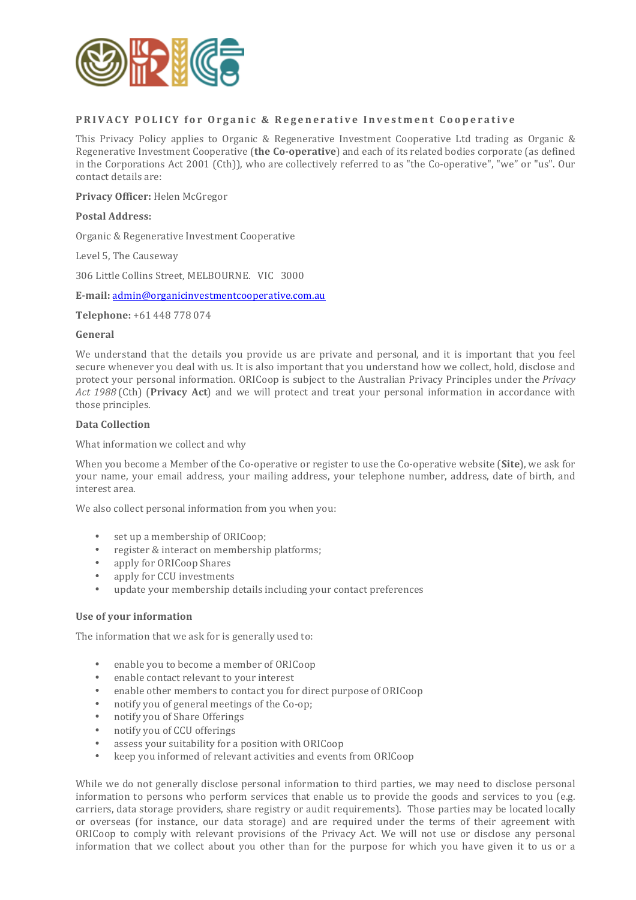

# **PRIVACY POLICY for Organic & Regenerative Investment Cooperative**

This Privacy Policy applies to Organic & Regenerative Investment Cooperative Ltd trading as Organic & Regenerative Investment Cooperative (the Co-operative) and each of its related bodies corporate (as defined in the Corporations Act 2001 (Cth)), who are collectively referred to as "the Co-operative", "we" or "us". Our contact details are:

Privacy Officer: Helen McGregor

#### **Postal Address:**

Organic & Regenerative Investment Cooperative

Level 5, The Causeway

306 Little Collins Street, MELBOURNE. VIC 3000

**E-mail:** admin@organicinvestmentcooperative.com.au

**Telephone:** +61 448 778 074

#### **General**

We understand that the details you provide us are private and personal, and it is important that you feel secure whenever you deal with us. It is also important that you understand how we collect, hold, disclose and protect your personal information. ORICoop is subject to the Australian Privacy Principles under the *Privacy* Act 1988 (Cth) (Privacy Act) and we will protect and treat your personal information in accordance with those principles.

#### **Data Collection**

What information we collect and why

When you become a Member of the Co-operative or register to use the Co-operative website (**Site**), we ask for your name, your email address, your mailing address, your telephone number, address, date of birth, and interest area.

We also collect personal information from you when you:

- set up a membership of ORICoop;
- register & interact on membership platforms;
- apply for ORICoop Shares
- apply for CCU investments
- update your membership details including your contact preferences

#### Use of your information

The information that we ask for is generally used to:

- enable you to become a member of ORICoop
- enable contact relevant to your interest
- enable other members to contact you for direct purpose of ORICoop
- notify you of general meetings of the Co-op;
- notify you of Share Offerings
- notify you of CCU offerings
- assess your suitability for a position with ORICoop
- keep vou informed of relevant activities and events from ORICoop

While we do not generally disclose personal information to third parties, we may need to disclose personal information to persons who perform services that enable us to provide the goods and services to you (e.g. carriers, data storage providers, share registry or audit requirements). Those parties may be located locally or overseas (for instance, our data storage) and are required under the terms of their agreement with ORICoop to comply with relevant provisions of the Privacy Act. We will not use or disclose any personal information that we collect about you other than for the purpose for which you have given it to us or a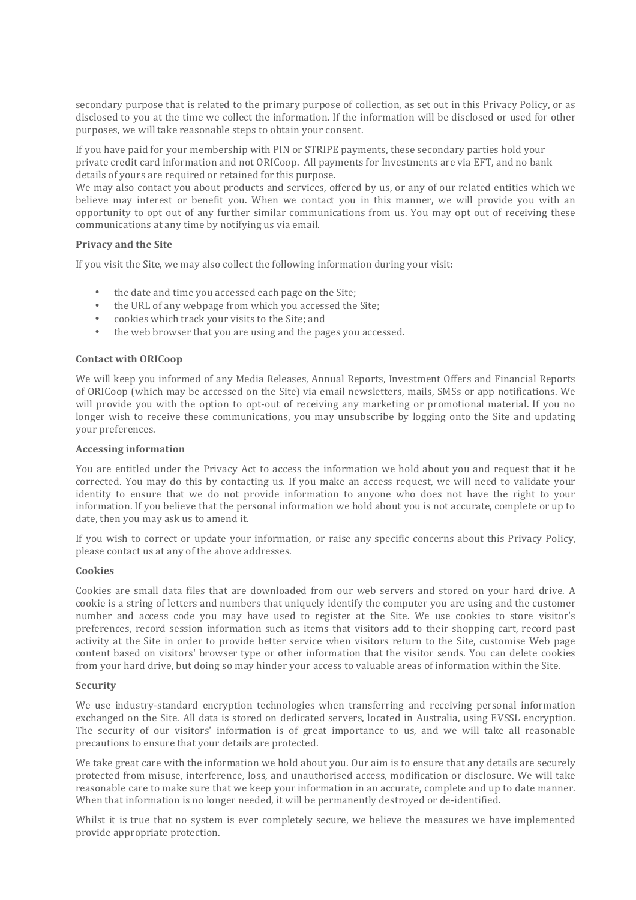secondary purpose that is related to the primary purpose of collection, as set out in this Privacy Policy, or as disclosed to you at the time we collect the information. If the information will be disclosed or used for other purposes, we will take reasonable steps to obtain your consent.

If you have paid for your membership with PIN or STRIPE payments, these secondary parties hold your private credit card information and not ORICoop. All payments for Investments are via EFT, and no bank details of vours are required or retained for this purpose.

We may also contact you about products and services, offered by us, or any of our related entities which we believe may interest or benefit you. When we contact you in this manner, we will provide you with an opportunity to opt out of any further similar communications from us. You may opt out of receiving these communications at any time by notifying us via email.

## **Privacy and the Site**

If you visit the Site, we may also collect the following information during your visit:

- the date and time you accessed each page on the Site;
- the URL of any webpage from which you accessed the Site;
- cookies which track your visits to the Site; and
- the web browser that you are using and the pages you accessed.

# **Contact with ORICoop**

We will keep you informed of any Media Releases, Annual Reports, Investment Offers and Financial Reports of ORICoop (which may be accessed on the Site) via email newsletters, mails, SMSs or app notifications. We will provide you with the option to opt-out of receiving any marketing or promotional material. If you no longer wish to receive these communications, you may unsubscribe by logging onto the Site and updating your preferences.

## **Accessing information**

You are entitled under the Privacy Act to access the information we hold about you and request that it be corrected. You may do this by contacting us. If you make an access request, we will need to validate your identity to ensure that we do not provide information to anyone who does not have the right to your information. If you believe that the personal information we hold about you is not accurate, complete or up to date, then you may ask us to amend it.

If you wish to correct or update your information, or raise any specific concerns about this Privacy Policy, please contact us at any of the above addresses.

## **Cookies**

Cookies are small data files that are downloaded from our web servers and stored on your hard drive. A cookie is a string of letters and numbers that uniquely identify the computer you are using and the customer number and access code you may have used to register at the Site. We use cookies to store visitor's preferences, record session information such as items that visitors add to their shopping cart, record past activity at the Site in order to provide better service when visitors return to the Site, customise Web page content based on visitors' browser type or other information that the visitor sends. You can delete cookies from your hard drive, but doing so may hinder your access to valuable areas of information within the Site.

## **Security**

We use industry-standard encryption technologies when transferring and receiving personal information exchanged on the Site. All data is stored on dedicated servers, located in Australia, using EVSSL encryption. The security of our visitors' information is of great importance to us, and we will take all reasonable precautions to ensure that your details are protected.

We take great care with the information we hold about you. Our aim is to ensure that any details are securely protected from misuse, interference, loss, and unauthorised access, modification or disclosure. We will take reasonable care to make sure that we keep your information in an accurate, complete and up to date manner. When that information is no longer needed, it will be permanently destroyed or de-identified.

Whilst it is true that no system is ever completely secure, we believe the measures we have implemented provide appropriate protection.